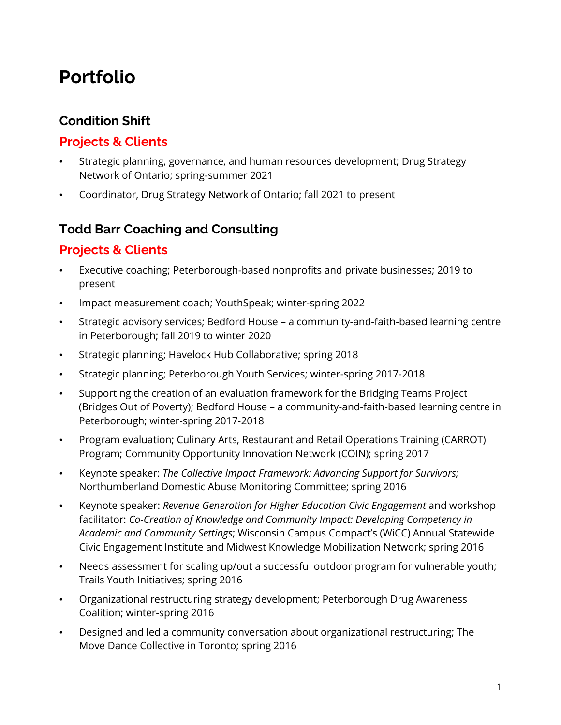# **Portfolio**

# **Condition Shift**

## **Projects & Clients**

- Strategic planning, governance, and human resources development; Drug Strategy Network of Ontario; spring-summer 2021
- Coordinator, Drug Strategy Network of Ontario; fall 2021 to present

### **Todd Barr Coaching and Consulting**

### **Projects & Clients**

- Executive coaching; Peterborough-based nonprofits and private businesses; 2019 to present
- Impact measurement coach; YouthSpeak; winter-spring 2022
- Strategic advisory services; Bedford House a community-and-faith-based learning centre in Peterborough; fall 2019 to winter 2020
- Strategic planning; Havelock Hub Collaborative; spring 2018
- Strategic planning; Peterborough Youth Services; winter-spring 2017-2018
- Supporting the creation of an evaluation framework for the Bridging Teams Project (Bridges Out of Poverty); Bedford House – a community-and-faith-based learning centre in Peterborough; winter-spring 2017-2018
- Program evaluation; Culinary Arts, Restaurant and Retail Operations Training (CARROT) Program; Community Opportunity Innovation Network (COIN); spring 2017
- Keynote speaker: *The Collective Impact Framework: Advancing Support for Survivors;* Northumberland Domestic Abuse Monitoring Committee; spring 2016
- Keynote speaker: *Revenue Generation for Higher Education Civic Engagement* and workshop facilitator: *Co-Creation of Knowledge and Community Impact: Developing Competency in Academic and Community Settings*; Wisconsin Campus Compact's (WiCC) Annual Statewide Civic Engagement Institute and Midwest Knowledge Mobilization Network; spring 2016
- Needs assessment for scaling up/out a successful outdoor program for vulnerable youth; Trails Youth Initiatives; spring 2016
- Organizational restructuring strategy development; Peterborough Drug Awareness Coalition; winter-spring 2016
- Designed and led a community conversation about organizational restructuring; The Move Dance Collective in Toronto; spring 2016